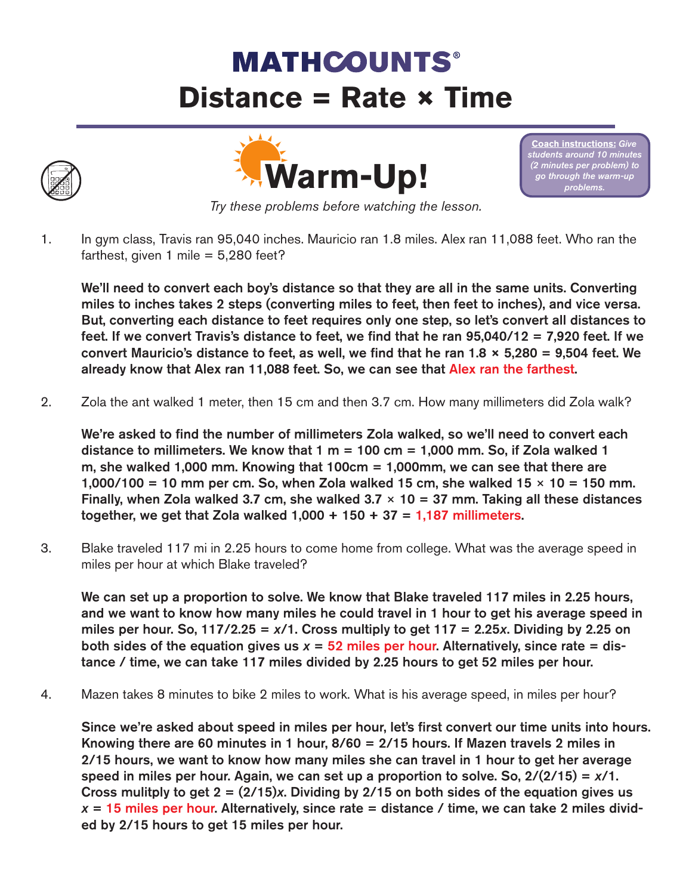## **MATHCOUNTS® Distance = Rate × Time**





**Coach instructions: Give** *students around 10 minutes (2 minutes per problem) to go through the warm-up problems.* 

*Try these problems before watching the lesson.*

1. In gym class, Travis ran 95,040 inches. Mauricio ran 1.8 miles. Alex ran 11,088 feet. Who ran the farthest, given 1 mile  $= 5,280$  feet?

We'll need to convert each boy's distance so that they are all in the same units. Converting miles to inches takes 2 steps (converting miles to feet, then feet to inches), and vice versa. But, converting each distance to feet requires only one step, so let's convert all distances to feet. If we convert Travis's distance to feet, we find that he ran 95,040/12 = 7,920 feet. If we convert Mauricio's distance to feet, as well, we find that he ran 1.8  $\times$  5,280 = 9,504 feet. We already know that Alex ran 11,088 feet. So, we can see that Alex ran the farthest.

2. Zola the ant walked 1 meter, then 15 cm and then 3.7 cm. How many millimeters did Zola walk?

We're asked to find the number of millimeters Zola walked, so we'll need to convert each distance to millimeters. We know that  $1 m = 100 cm = 1,000 mm$ . So, if Zola walked 1 m, she walked 1,000 mm. Knowing that 100cm = 1,000mm, we can see that there are 1,000/100 = 10 mm per cm. So, when Zola walked 15 cm, she walked  $15 \times 10 = 150$  mm. Finally, when Zola walked 3.7 cm, she walked  $3.7 \times 10 = 37$  mm. Taking all these distances together, we get that Zola walked  $1,000 + 150 + 37 = 1,187$  millimeters.

3. Blake traveled 117 mi in 2.25 hours to come home from college. What was the average speed in miles per hour at which Blake traveled?

We can set up a proportion to solve. We know that Blake traveled 117 miles in 2.25 hours, and we want to know how many miles he could travel in 1 hour to get his average speed in miles per hour. So, 117/2.25 =  $x/1$ . Cross multiply to get 117 = 2.25 $x$ . Dividing by 2.25 on both sides of the equation gives us  $x = 52$  miles per hour. Alternatively, since rate = distance / time, we can take 117 miles divided by 2.25 hours to get 52 miles per hour.

4. Mazen takes 8 minutes to bike 2 miles to work. What is his average speed, in miles per hour?

Since we're asked about speed in miles per hour, let's first convert our time units into hours. Knowing there are 60 minutes in 1 hour, 8/60 = 2/15 hours. If Mazen travels 2 miles in 2/15 hours, we want to know how many miles she can travel in 1 hour to get her average speed in miles per hour. Again, we can set up a proportion to solve. So, 2/(2/15) = *x*/1. Cross mulitply to get 2 = (2/15)*x*. Dividing by 2/15 on both sides of the equation gives us  $x = 15$  miles per hour. Alternatively, since rate  $=$  distance / time, we can take 2 miles divided by 2/15 hours to get 15 miles per hour.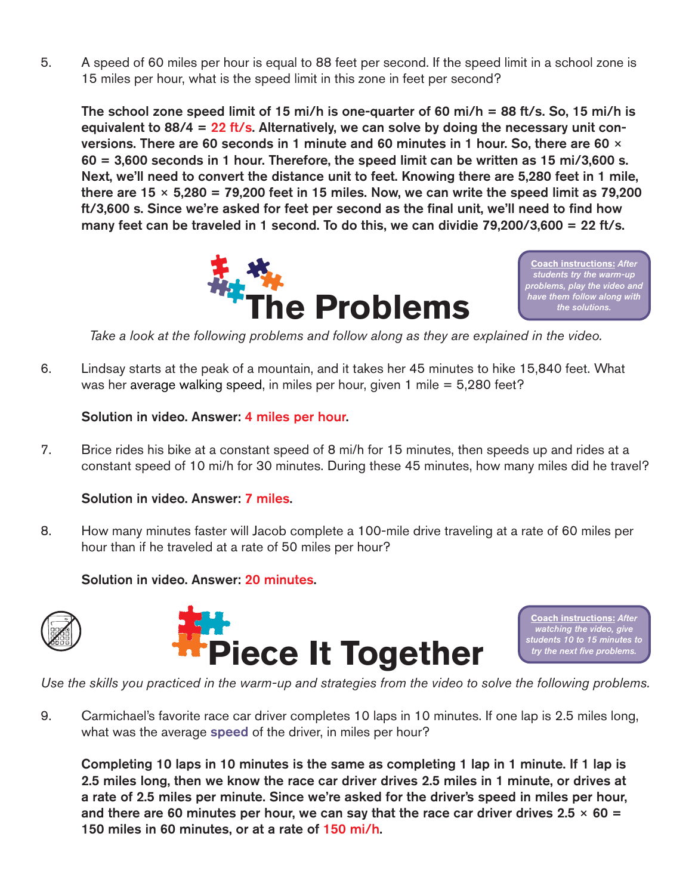5. A speed of 60 miles per hour is equal to 88 feet per second. If the speed limit in a school zone is 15 miles per hour, what is the speed limit in this zone in feet per second?

The school zone speed limit of 15 mi/h is one-quarter of 60 mi/h = 88 ft/s. So, 15 mi/h is equivalent to 88/4 = 22 ft/s. Alternatively, we can solve by doing the necessary unit conversions. There are 60 seconds in 1 minute and 60 minutes in 1 hour. So, there are 60  $\times$  $60 = 3,600$  seconds in 1 hour. Therefore, the speed limit can be written as 15 mi/3,600 s. Next, we'll need to convert the distance unit to feet. Knowing there are 5,280 feet in 1 mile, there are  $15 \times 5,280 = 79,200$  feet in 15 miles. Now, we can write the speed limit as 79,200 ft/3,600 s. Since we're asked for feet per second as the final unit, we'll need to find how many feet can be traveled in 1 second. To do this, we can dividie 79,200/3,600 = 22 ft/s.



**Coach instructions:** *After students try the warm-up problems, play the video and* 

*Take a look at the following problems and follow along as they are explained in the video.*

6. Lindsay starts at the peak of a mountain, and it takes her 45 minutes to hike 15,840 feet. What was her average walking speed, in miles per hour, given 1 mile = 5,280 feet?

Solution in video. Answer: 4 miles per hour.

7. Brice rides his bike at a constant speed of 8 mi/h for 15 minutes, then speeds up and rides at a constant speed of 10 mi/h for 30 minutes. During these 45 minutes, how many miles did he travel?

## Solution in video. Answer: 7 miles.

8. How many minutes faster will Jacob complete a 100-mile drive traveling at a rate of 60 miles per hour than if he traveled at a rate of 50 miles per hour?

## Solution in video. Answer: 20 minutes.





**Coach instructions:** *After watching the video, give students 10 to 15 minutes to try the next five problems.*

*Use the skills you practiced in the warm-up and strategies from the video to solve the following problems.*

9. Carmichael's favorite race car driver completes 10 laps in 10 minutes. If one lap is 2.5 miles long, what was the average speed of the driver, in miles per hour?

Completing 10 laps in 10 minutes is the same as completing 1 lap in 1 minute. If 1 lap is 2.5 miles long, then we know the race car driver drives 2.5 miles in 1 minute, or drives at a rate of 2.5 miles per minute. Since we're asked for the driver's speed in miles per hour, and there are 60 minutes per hour, we can say that the race car driver drives  $2.5 \times 60 =$ 150 miles in 60 minutes, or at a rate of 150 mi/h.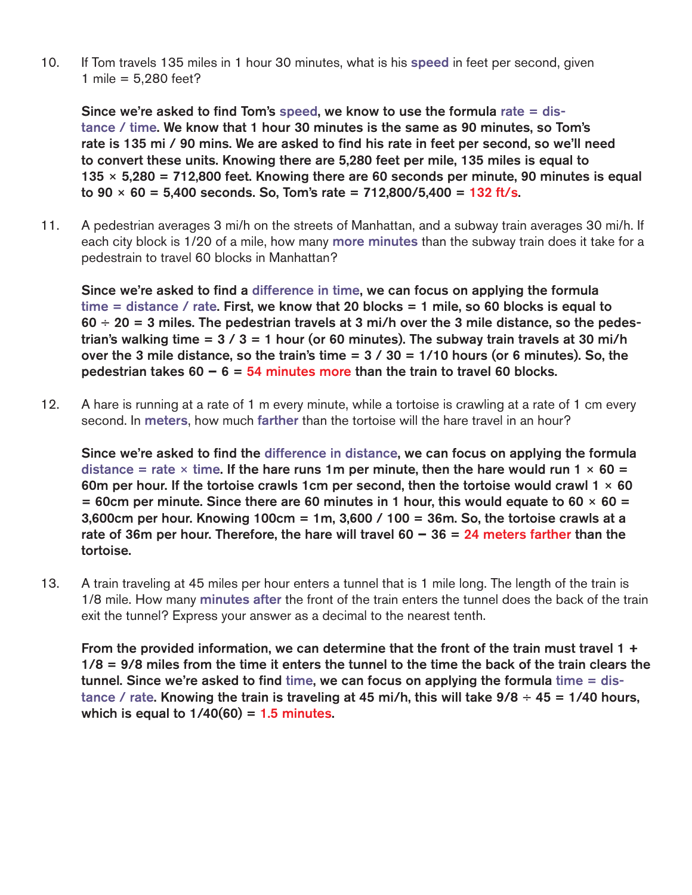10. If Tom travels 135 miles in 1 hour 30 minutes, what is his speed in feet per second, given 1 mile = 5,280 feet?

Since we're asked to find Tom's speed, we know to use the formula rate = distance / time. We know that 1 hour 30 minutes is the same as 90 minutes, so Tom's rate is 135 mi / 90 mins. We are asked to find his rate in feet per second, so we'll need to convert these units. Knowing there are 5,280 feet per mile, 135 miles is equal to  $135 \times 5,280 = 712,800$  feet. Knowing there are 60 seconds per minute, 90 minutes is equal to  $90 \times 60 = 5,400$  seconds. So, Tom's rate = 712,800/5,400 = 132 ft/s.

11. A pedestrian averages 3 mi/h on the streets of Manhattan, and a subway train averages 30 mi/h. If each city block is 1/20 of a mile, how many more minutes than the subway train does it take for a pedestrain to travel 60 blocks in Manhattan?

Since we're asked to find a difference in time, we can focus on applying the formula time = distance / rate. First, we know that 20 blocks = 1 mile, so 60 blocks is equal to  $60 \div 20 = 3$  miles. The pedestrian travels at 3 mi/h over the 3 mile distance, so the pedestrian's walking time =  $3 / 3 = 1$  hour (or 60 minutes). The subway train travels at 30 mi/h over the 3 mile distance, so the train's time  $= 3 / 30 = 1/10$  hours (or 6 minutes). So, the pedestrian takes 60 **−** 6 = 54 minutes more than the train to travel 60 blocks.

12. A hare is running at a rate of 1 m every minute, while a tortoise is crawling at a rate of 1 cm every second. In meters, how much farther than the tortoise will the hare travel in an hour?

Since we're asked to find the difference in distance, we can focus on applying the formula distance = rate  $\times$  time. If the hare runs 1m per minute, then the hare would run 1  $\times$  60 = 60m per hour. If the tortoise crawls 1cm per second, then the tortoise would crawl  $1 \times 60$  $= 60$ cm per minute. Since there are 60 minutes in 1 hour, this would equate to 60  $\times$  60  $=$ 3,600cm per hour. Knowing 100cm = 1m, 3,600 / 100 = 36m. So, the tortoise crawls at a rate of 36m per hour. Therefore, the hare will travel 60 **−** 36 = 24 meters farther than the tortoise.

13. A train traveling at 45 miles per hour enters a tunnel that is 1 mile long. The length of the train is 1/8 mile. How many minutes after the front of the train enters the tunnel does the back of the train exit the tunnel? Express your answer as a decimal to the nearest tenth.

From the provided information, we can determine that the front of the train must travel 1  $+$ 1/8 = 9/8 miles from the time it enters the tunnel to the time the back of the train clears the tunnel. Since we're asked to find time, we can focus on applying the formula time = distance / rate. Knowing the train is traveling at 45 mi/h, this will take  $9/8 \div 45 = 1/40$  hours, which is equal to  $1/40(60) = 1.5$  minutes.